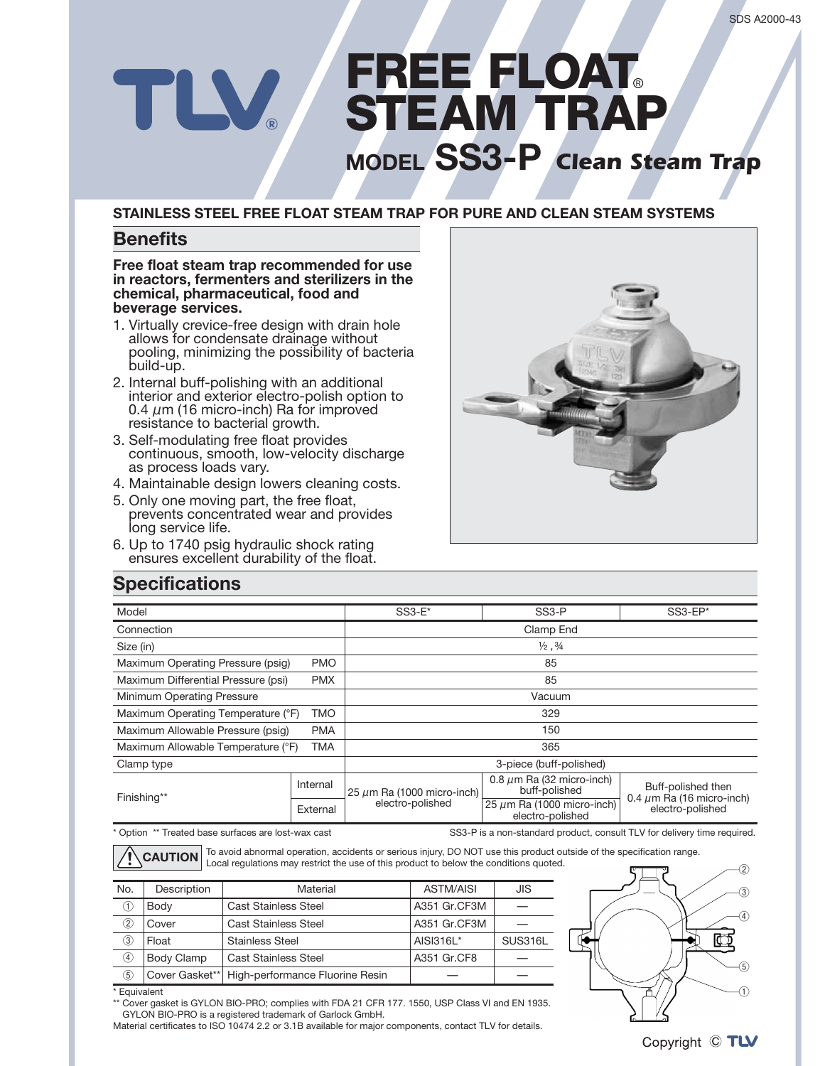# FREE FLOAT TLV STEAM TRAP **MODEL SS3-P** Clean Steam Trap

#### **STAINLESS STEEL FREE FLOAT STEAM TRAP FOR PURE AND CLEAN STEAM SYSTEMS**

#### **Benefits**

#### **Free float steam trap recommended for use** in reactors, fermenters and sterilizers in the chemical, pharmaceutical, food and **beverage** services.

- 1. Virtually crevice-free design with drain hole allows for condensate drainage without pooling, minimizing the possibility of bacteria build-up.
- 2. Internal buff-polishing with an additional interior and exterior electro-polish option to 0.4  $\mu$ m (16 micro-inch) Ra for improved resistance to bacterial growth.
- 3. Self-modulating free float provides continuous, smooth, low-velocity discharge as process loads vary.
- 4. Maintainable design lowers cleaning costs.
- 5. Only one moving part, the free float, prevents concentrated wear and provides long service life.
- 6. Up to 1740 psig hydraulic shock rating ensures excellent durability of the float.



### **Specifications**

| Model                                           |            | $SS3-E^*$                       | SS <sub>3</sub> -P                                  | $SS3$ -EP*                                                               |  |  |
|-------------------------------------------------|------------|---------------------------------|-----------------------------------------------------|--------------------------------------------------------------------------|--|--|
| Connection                                      |            | Clamp End                       |                                                     |                                                                          |  |  |
| Size (in)                                       |            | $\frac{1}{2}$ , $\frac{3}{4}$   |                                                     |                                                                          |  |  |
| Maximum Operating Pressure (psig)<br><b>PMO</b> |            | 85                              |                                                     |                                                                          |  |  |
| Maximum Differential Pressure (psi)             | <b>PMX</b> | 85                              |                                                     |                                                                          |  |  |
| Minimum Operating Pressure                      |            | Vacuum                          |                                                     |                                                                          |  |  |
| Maximum Operating Temperature (°F)              | <b>TMO</b> | 329                             |                                                     |                                                                          |  |  |
| Maximum Allowable Pressure (psig)<br><b>PMA</b> |            | 150                             |                                                     |                                                                          |  |  |
| Maximum Allowable Temperature (°F)              | <b>TMA</b> | 365                             |                                                     |                                                                          |  |  |
| Clamp type                                      |            | 3-piece (buff-polished)         |                                                     |                                                                          |  |  |
| Finishing**                                     | Internal   | 25 $\mu$ m Ra (1000 micro-inch) | 0.8 $\mu$ m Ra (32 micro-inch)<br>buff-polished     | Buff-polished then<br>0.4 $\mu$ m Ra (16 micro-inch)<br>electro-polished |  |  |
|                                                 | External   | electro-polished                | 25 $\mu$ m Ra (1000 micro-inch)<br>electro-polished |                                                                          |  |  |

\* Option \*\* Treated base surfaces are lost-wax cast expression of the SS3-P is a non-standard product, consult TLV for delivery time required.

To avoid abnormal operation, accidents or serious injury, DO NOT use this product outside of the specification range. **CAUTION** Local regulations may restrict the use of this product to below the conditions quoted.

| No.               | Description | Material                                         | <b>ASTM/AISI</b> | <b>JIS</b> |
|-------------------|-------------|--------------------------------------------------|------------------|------------|
| ⋒                 | Body        | <b>Cast Stainless Steel</b>                      | A351 Gr.CF3M     |            |
| 2                 | Cover       | <b>Cast Stainless Steel</b>                      | A351 Gr.CF3M     |            |
| 3                 | Float       | <b>Stainless Steel</b>                           | AISI316L*        | SUS316L    |
| $\left( 4\right)$ | Body Clamp  | <b>Cast Stainless Steel</b>                      | A351 Gr.CF8      |            |
| 5)                |             | Cover Gasket**   High-performance Fluorine Resin |                  |            |



 $*$  Equivalent

\*\* Cover gasket is GYLON BIO-PRO; complies with FDA 21 CFR 177. 1550, USP Class VI and EN 1935. GYLON BIO-PRO is a registered trademark of Garlock GmbH.

Material certificates to ISO 10474 2.2 or 3.1B available for major components, contact TLV for details.